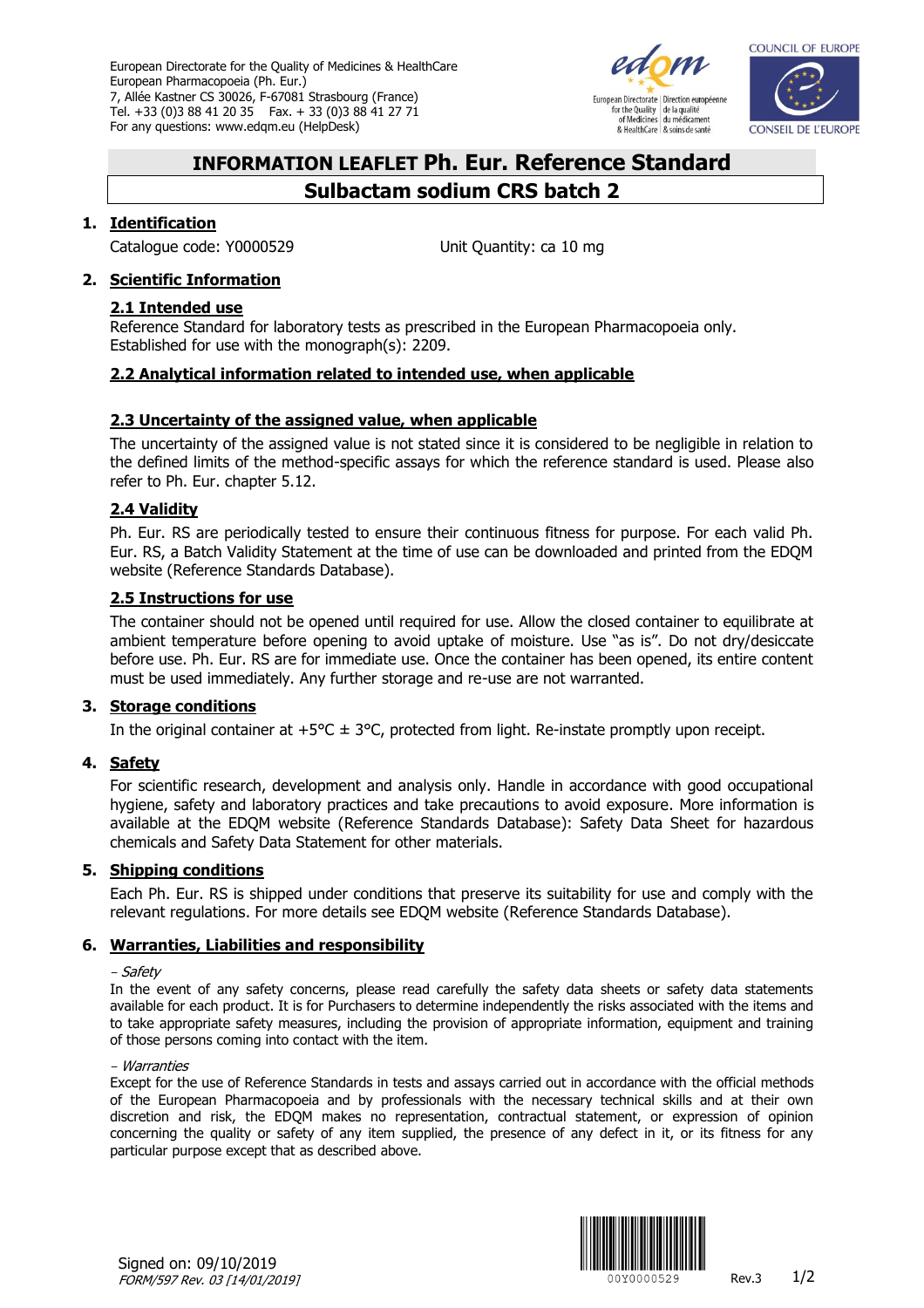European Directorate for the Quality of Medicines & HealthCare European Pharmacopoeia (Ph. Eur.) 7, Allée Kastner CS 30026, F-67081 Strasbourg (France) Tel. +33 (0)3 88 41 20 35 Fax. + 33 (0)3 88 41 27 71 For any questions: www.edqm.eu (HelpDesk)



European Directorate | Direction européenne For the Quality<br>of Medicines du médicament & HealthCare & soins de santé



# **INFORMATION LEAFLET Ph. Eur. Reference Standard Sulbactam sodium CRS batch 2**

# **1. Identification**

Catalogue code: Y0000529 Unit Quantity: ca 10 mg

# **2. Scientific Information**

## **2.1 Intended use**

Reference Standard for laboratory tests as prescribed in the European Pharmacopoeia only. Established for use with the monograph(s): 2209.

# **2.2 Analytical information related to intended use, when applicable**

# **2.3 Uncertainty of the assigned value, when applicable**

The uncertainty of the assigned value is not stated since it is considered to be negligible in relation to the defined limits of the method-specific assays for which the reference standard is used. Please also refer to Ph. Eur. chapter 5.12.

# **2.4 Validity**

Ph. Eur. RS are periodically tested to ensure their continuous fitness for purpose. For each valid Ph. Eur. RS, a Batch Validity Statement at the time of use can be downloaded and printed from the EDQM website [\(Reference Standards Database\)](https://crs.edqm.eu/).

# **2.5 Instructions for use**

The container should not be opened until required for use. Allow the closed container to equilibrate at ambient temperature before opening to avoid uptake of moisture. Use "as is". Do not dry/desiccate before use. Ph. Eur. RS are for immediate use. Once the container has been opened, its entire content must be used immediately. Any further storage and re-use are not warranted.

## **3. Storage conditions**

In the original container at  $+5^{\circ}C \pm 3^{\circ}C$ , protected from light. Re-instate promptly upon receipt.

## **4. Safety**

For scientific research, development and analysis only. Handle in accordance with good occupational hygiene, safety and laboratory practices and take precautions to avoid exposure. More information is available at the EDQM website [\(Reference Standards Database\)](https://crs.edqm.eu/): Safety Data Sheet for hazardous chemicals and Safety Data Statement for other materials.

## **5. Shipping conditions**

Each Ph. Eur. RS is shipped under conditions that preserve its suitability for use and comply with the relevant regulations. For more details see EDQM website [\(Reference Standards Database\)](https://crs.edqm.eu/).

## **6. Warranties, Liabilities and responsibility**

#### - Safety

In the event of any safety concerns, please read carefully the safety data sheets or safety data statements available for each product. It is for Purchasers to determine independently the risks associated with the items and to take appropriate safety measures, including the provision of appropriate information, equipment and training of those persons coming into contact with the item.

#### - Warranties

Except for the use of Reference Standards in tests and assays carried out in accordance with the official methods of the European Pharmacopoeia and by professionals with the necessary technical skills and at their own discretion and risk, the EDQM makes no representation, contractual statement, or expression of opinion concerning the quality or safety of any item supplied, the presence of any defect in it, or its fitness for any particular purpose except that as described above.



Signed on: 09/10/2019 FORM/597 Rev. 03 [14/01/2019]  $\frac{1}{2}$